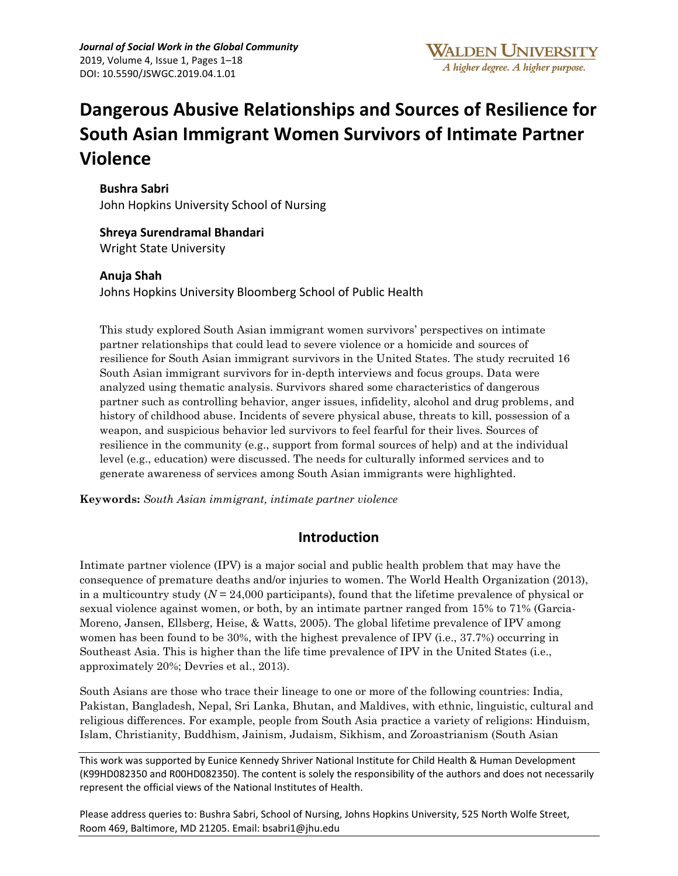# **Dangerous Abusive Relationships and Sources of Resilience for South Asian Immigrant Women Survivors of Intimate Partner Violence**

**Bushra Sabri**

John Hopkins University School of Nursing

**Shreya Surendramal Bhandari** Wright State University

## **Anuja Shah**

Johns Hopkins University Bloomberg School of Public Health

This study explored South Asian immigrant women survivors' perspectives on intimate partner relationships that could lead to severe violence or a homicide and sources of resilience for South Asian immigrant survivors in the United States. The study recruited 16 South Asian immigrant survivors for in-depth interviews and focus groups. Data were analyzed using thematic analysis. Survivors shared some characteristics of dangerous partner such as controlling behavior, anger issues, infidelity, alcohol and drug problems, and history of childhood abuse. Incidents of severe physical abuse, threats to kill, possession of a weapon, and suspicious behavior led survivors to feel fearful for their lives. Sources of resilience in the community (e.g., support from formal sources of help) and at the individual level (e.g., education) were discussed. The needs for culturally informed services and to generate awareness of services among South Asian immigrants were highlighted.

**Keywords:** *South Asian immigrant, intimate partner violence*

# **Introduction**

Intimate partner violence (IPV) is a major social and public health problem that may have the consequence of premature deaths and/or injuries to women. The World Health Organization (2013), in a multicountry study (*N* = 24,000 participants), found that the lifetime prevalence of physical or sexual violence against women, or both, by an intimate partner ranged from 15% to 71% (Garcia-Moreno, Jansen, Ellsberg, Heise, & Watts, 2005). The global lifetime prevalence of IPV among women has been found to be 30%, with the highest prevalence of IPV (i.e., 37.7%) occurring in Southeast Asia. This is higher than the life time prevalence of IPV in the United States (i.e., approximately 20%; Devries et al., 2013).

South Asians are those who trace their lineage to one or more of the following countries: India, Pakistan, Bangladesh, Nepal, Sri Lanka, Bhutan, and Maldives, with ethnic, linguistic, cultural and religious differences. For example, people from South Asia practice a variety of religions: Hinduism, Islam, Christianity, Buddhism, Jainism, Judaism, Sikhism, and Zoroastrianism (South Asian

This work was supported by Eunice Kennedy Shriver National Institute for Child Health & Human Development (K99HD082350 and R00HD082350). The content is solely the responsibility of the authors and does not necessarily represent the official views of the National Institutes of Health.

Please address queries to: Bushra Sabri, School of Nursing, Johns Hopkins University, 525 North Wolfe Street, Room 469, Baltimore, MD 21205. Email: bsabri1@jhu.edu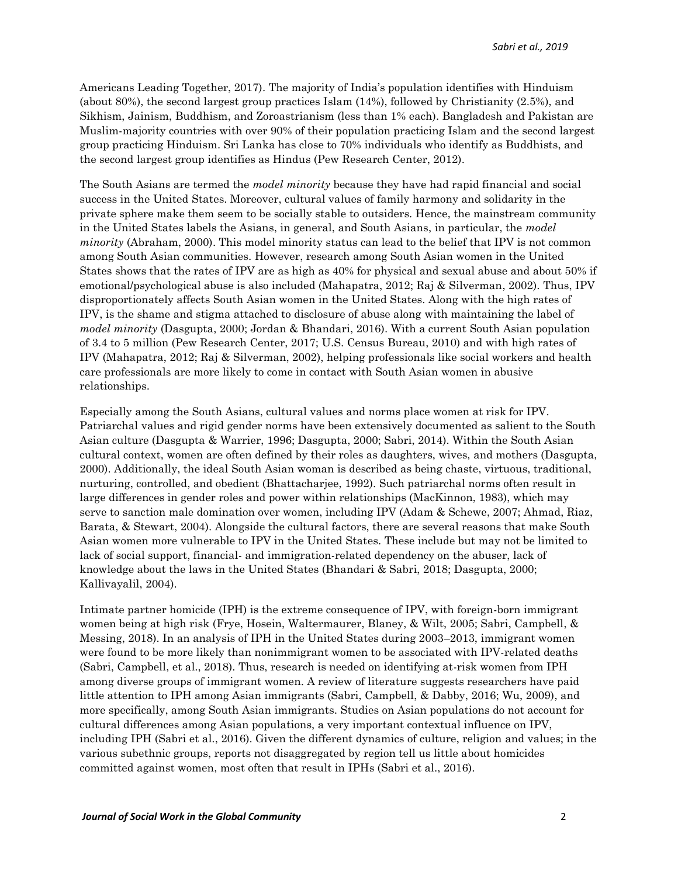Americans Leading Together, 2017). The majority of India's population identifies with Hinduism (about 80%), the second largest group practices Islam (14%), followed by Christianity (2.5%), and Sikhism, Jainism, Buddhism, and Zoroastrianism (less than 1% each). Bangladesh and Pakistan are Muslim-majority countries with over 90% of their population practicing Islam and the second largest group practicing Hinduism. Sri Lanka has close to 70% individuals who identify as Buddhists, and the second largest group identifies as Hindus (Pew Research Center, 2012).

The South Asians are termed the *model minority* because they have had rapid financial and social success in the United States. Moreover, cultural values of family harmony and solidarity in the private sphere make them seem to be socially stable to outsiders. Hence, the mainstream community in the United States labels the Asians, in general, and South Asians, in particular, the *model minority* (Abraham, 2000). This model minority status can lead to the belief that IPV is not common among South Asian communities. However, research among South Asian women in the United States shows that the rates of IPV are as high as 40% for physical and sexual abuse and about 50% if emotional/psychological abuse is also included (Mahapatra, 2012; Raj & Silverman, 2002). Thus, IPV disproportionately affects South Asian women in the United States. Along with the high rates of IPV, is the shame and stigma attached to disclosure of abuse along with maintaining the label of *model minority* (Dasgupta, 2000; Jordan & Bhandari, 2016). With a current South Asian population of 3.4 to 5 million (Pew Research Center, 2017; U.S. Census Bureau, 2010) and with high rates of IPV (Mahapatra, 2012; Raj & Silverman, 2002), helping professionals like social workers and health care professionals are more likely to come in contact with South Asian women in abusive relationships.

Especially among the South Asians, cultural values and norms place women at risk for IPV. Patriarchal values and rigid gender norms have been extensively documented as salient to the South Asian culture (Dasgupta & Warrier, 1996; Dasgupta, 2000; Sabri, 2014). Within the South Asian cultural context, women are often defined by their roles as daughters, wives, and mothers (Dasgupta, 2000). Additionally, the ideal South Asian woman is described as being chaste, virtuous, traditional, nurturing, controlled, and obedient (Bhattacharjee, 1992). Such patriarchal norms often result in large differences in gender roles and power within relationships (MacKinnon, 1983), which may serve to sanction male domination over women, including IPV (Adam & Schewe, 2007; Ahmad, Riaz, Barata, & Stewart, 2004). Alongside the cultural factors, there are several reasons that make South Asian women more vulnerable to IPV in the United States. These include but may not be limited to lack of social support, financial- and immigration-related dependency on the abuser, lack of knowledge about the laws in the United States (Bhandari & Sabri, 2018; Dasgupta, 2000; Kallivayalil, 2004).

Intimate partner homicide (IPH) is the extreme consequence of IPV, with foreign-born immigrant women being at high risk (Frye, Hosein, Waltermaurer, Blaney, & Wilt, 2005; Sabri, Campbell, & Messing, 2018). In an analysis of IPH in the United States during 2003–2013, immigrant women were found to be more likely than nonimmigrant women to be associated with IPV-related deaths (Sabri, Campbell, et al., 2018). Thus, research is needed on identifying at-risk women from IPH among diverse groups of immigrant women. A review of literature suggests researchers have paid little attention to IPH among Asian immigrants (Sabri, Campbell, & Dabby, 2016; Wu, 2009), and more specifically, among South Asian immigrants. Studies on Asian populations do not account for cultural differences among Asian populations, a very important contextual influence on IPV, including IPH (Sabri et al., 2016). Given the different dynamics of culture, religion and values; in the various subethnic groups, reports not disaggregated by region tell us little about homicides committed against women, most often that result in IPHs (Sabri et al., 2016).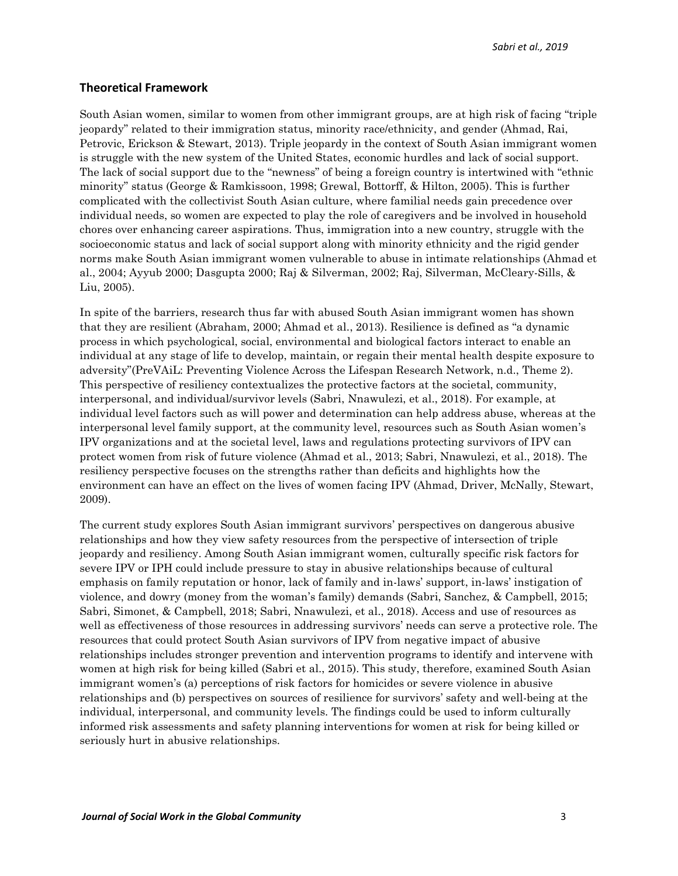*Sabri et al., 2019*

#### **Theoretical Framework**

South Asian women, similar to women from other immigrant groups, are at high risk of facing "triple jeopardy" related to their immigration status, minority race/ethnicity, and gender (Ahmad, Rai, Petrovic, Erickson & Stewart, 2013). Triple jeopardy in the context of South Asian immigrant women is struggle with the new system of the United States, economic hurdles and lack of social support. The lack of social support due to the "newness" of being a foreign country is intertwined with "ethnic minority" status (George & Ramkissoon, 1998; Grewal, Bottorff, & Hilton, 2005). This is further complicated with the collectivist South Asian culture, where familial needs gain precedence over individual needs, so women are expected to play the role of caregivers and be involved in household chores over enhancing career aspirations. Thus, immigration into a new country, struggle with the socioeconomic status and lack of social support along with minority ethnicity and the rigid gender norms make South Asian immigrant women vulnerable to abuse in intimate relationships (Ahmad et al., 2004; Ayyub 2000; Dasgupta 2000; Raj & Silverman, 2002; Raj, Silverman, McCleary-Sills, & Liu, 2005).

In spite of the barriers, research thus far with abused South Asian immigrant women has shown that they are resilient (Abraham, 2000; Ahmad et al., 2013). Resilience is defined as "a dynamic process in which psychological, social, environmental and biological factors interact to enable an individual at any stage of life to develop, maintain, or regain their mental health despite exposure to adversity"(PreVAiL: Preventing Violence Across the Lifespan Research Network, n.d., Theme 2). This perspective of resiliency contextualizes the protective factors at the societal, community, interpersonal, and individual/survivor levels (Sabri, Nnawulezi, et al., 2018). For example, at individual level factors such as will power and determination can help address abuse, whereas at the interpersonal level family support, at the community level, resources such as South Asian women's IPV organizations and at the societal level, laws and regulations protecting survivors of IPV can protect women from risk of future violence (Ahmad et al., 2013; Sabri, Nnawulezi, et al., 2018). The resiliency perspective focuses on the strengths rather than deficits and highlights how the environment can have an effect on the lives of women facing IPV (Ahmad, Driver, McNally, Stewart, 2009).

The current study explores South Asian immigrant survivors' perspectives on dangerous abusive relationships and how they view safety resources from the perspective of intersection of triple jeopardy and resiliency. Among South Asian immigrant women, culturally specific risk factors for severe IPV or IPH could include pressure to stay in abusive relationships because of cultural emphasis on family reputation or honor, lack of family and in-laws' support, in-laws' instigation of violence, and dowry (money from the woman's family) demands (Sabri, Sanchez, & Campbell, 2015; Sabri, Simonet, & Campbell, 2018; Sabri, Nnawulezi, et al., 2018). Access and use of resources as well as effectiveness of those resources in addressing survivors' needs can serve a protective role. The resources that could protect South Asian survivors of IPV from negative impact of abusive relationships includes stronger prevention and intervention programs to identify and intervene with women at high risk for being killed (Sabri et al., 2015). This study, therefore, examined South Asian immigrant women's (a) perceptions of risk factors for homicides or severe violence in abusive relationships and (b) perspectives on sources of resilience for survivors' safety and well-being at the individual, interpersonal, and community levels. The findings could be used to inform culturally informed risk assessments and safety planning interventions for women at risk for being killed or seriously hurt in abusive relationships.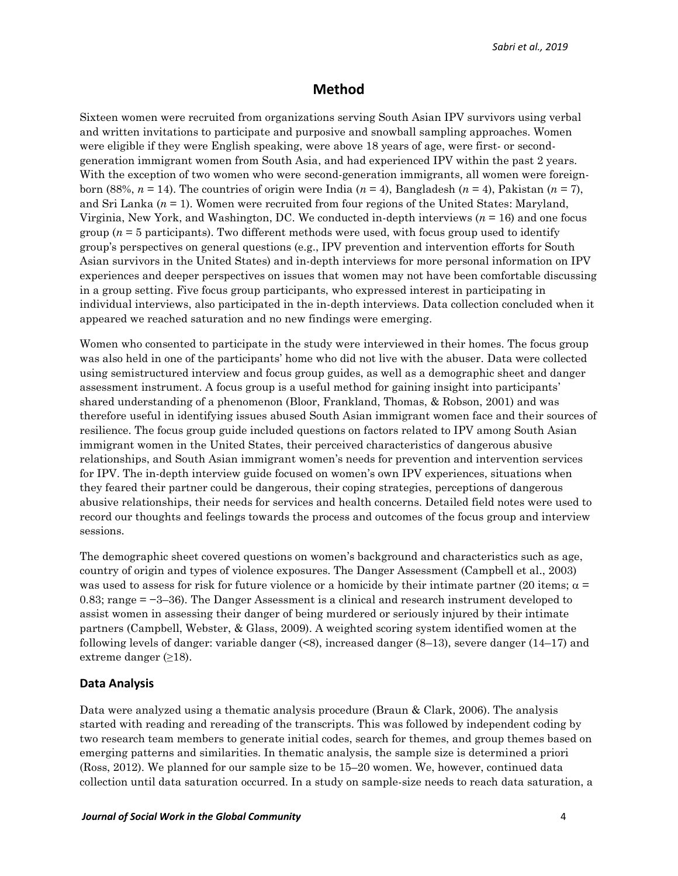# **Method**

Sixteen women were recruited from organizations serving South Asian IPV survivors using verbal and written invitations to participate and purposive and snowball sampling approaches. Women were eligible if they were English speaking, were above 18 years of age, were first- or secondgeneration immigrant women from South Asia, and had experienced IPV within the past 2 years. With the exception of two women who were second-generation immigrants, all women were foreignborn (88%,  $n = 14$ ). The countries of origin were India ( $n = 4$ ), Bangladesh ( $n = 4$ ), Pakistan ( $n = 7$ ), and Sri Lanka (*n* = 1). Women were recruited from four regions of the United States: Maryland, Virginia, New York, and Washington, DC. We conducted in-depth interviews (*n* = 16) and one focus group  $(n = 5$  participants). Two different methods were used, with focus group used to identify group's perspectives on general questions (e.g., IPV prevention and intervention efforts for South Asian survivors in the United States) and in-depth interviews for more personal information on IPV experiences and deeper perspectives on issues that women may not have been comfortable discussing in a group setting. Five focus group participants, who expressed interest in participating in individual interviews, also participated in the in-depth interviews. Data collection concluded when it appeared we reached saturation and no new findings were emerging.

Women who consented to participate in the study were interviewed in their homes. The focus group was also held in one of the participants' home who did not live with the abuser. Data were collected using semistructured interview and focus group guides, as well as a demographic sheet and danger assessment instrument. A focus group is a useful method for gaining insight into participants' shared understanding of a phenomenon (Bloor, Frankland, Thomas, & Robson, 2001) and was therefore useful in identifying issues abused South Asian immigrant women face and their sources of resilience. The focus group guide included questions on factors related to IPV among South Asian immigrant women in the United States, their perceived characteristics of dangerous abusive relationships, and South Asian immigrant women's needs for prevention and intervention services for IPV. The in-depth interview guide focused on women's own IPV experiences, situations when they feared their partner could be dangerous, their coping strategies, perceptions of dangerous abusive relationships, their needs for services and health concerns. Detailed field notes were used to record our thoughts and feelings towards the process and outcomes of the focus group and interview sessions.

The demographic sheet covered questions on women's background and characteristics such as age, country of origin and types of violence exposures. The Danger Assessment (Campbell et al., 2003) was used to assess for risk for future violence or a homicide by their intimate partner (20 items;  $\alpha$  = 0.83; range = −3–36). The Danger Assessment is a clinical and research instrument developed to assist women in assessing their danger of being murdered or seriously injured by their intimate partners (Campbell, Webster, & Glass, 2009). A weighted scoring system identified women at the following levels of danger: variable danger  $(\leq 8)$ , increased danger  $(8-13)$ , severe danger  $(14-17)$  and extreme danger  $(\geq 18)$ .

#### **Data Analysis**

Data were analyzed using a thematic analysis procedure (Braun & Clark, 2006). The analysis started with reading and rereading of the transcripts. This was followed by independent coding by two research team members to generate initial codes, search for themes, and group themes based on emerging patterns and similarities. In thematic analysis, the sample size is determined a priori (Ross, 2012). We planned for our sample size to be 15–20 women. We, however, continued data collection until data saturation occurred. In a study on sample-size needs to reach data saturation, a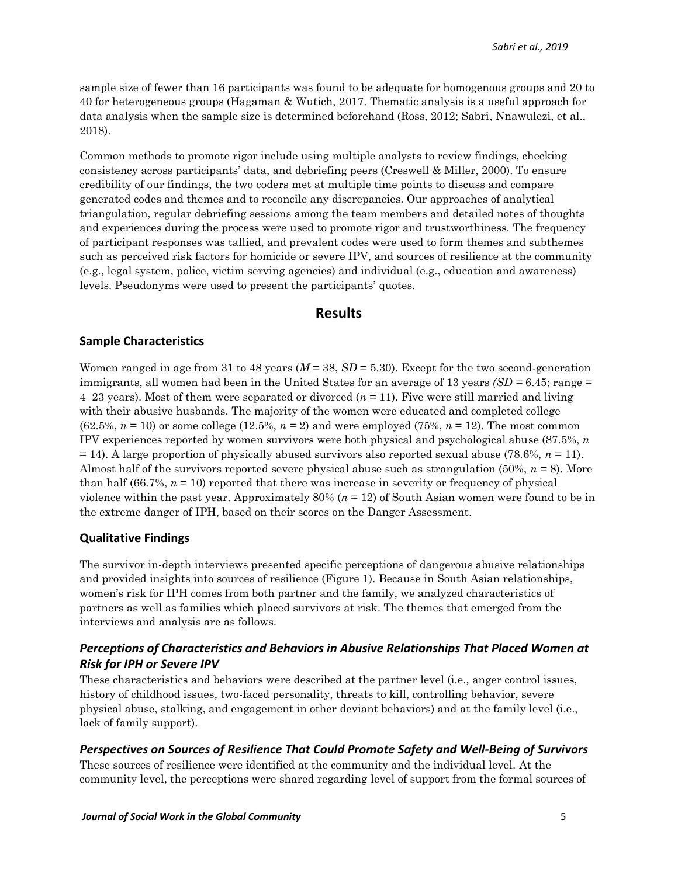sample size of fewer than 16 participants was found to be adequate for homogenous groups and 20 to 40 for heterogeneous groups (Hagaman & Wutich, 2017. Thematic analysis is a useful approach for data analysis when the sample size is determined beforehand (Ross, 2012; Sabri, Nnawulezi, et al., 2018).

Common methods to promote rigor include using multiple analysts to review findings, checking consistency across participants' data, and debriefing peers (Creswell & Miller, 2000). To ensure credibility of our findings, the two coders met at multiple time points to discuss and compare generated codes and themes and to reconcile any discrepancies. Our approaches of analytical triangulation, regular debriefing sessions among the team members and detailed notes of thoughts and experiences during the process were used to promote rigor and trustworthiness. The frequency of participant responses was tallied, and prevalent codes were used to form themes and subthemes such as perceived risk factors for homicide or severe IPV, and sources of resilience at the community (e.g., legal system, police, victim serving agencies) and individual (e.g., education and awareness) levels. Pseudonyms were used to present the participants' quotes.

## **Results**

#### **Sample Characteristics**

Women ranged in age from 31 to 48 years (*M* = 38, *SD* = 5.30). Except for the two second-generation immigrants, all women had been in the United States for an average of 13 years *(SD =* 6.45; range = 4–23 years). Most of them were separated or divorced (*n* = 11). Five were still married and living with their abusive husbands. The majority of the women were educated and completed college  $(62.5\%, n=10)$  or some college  $(12.5\%, n=2)$  and were employed  $(75\%, n=12)$ . The most common IPV experiences reported by women survivors were both physical and psychological abuse (87.5%, *n* = 14). A large proportion of physically abused survivors also reported sexual abuse (78.6%, *n* = 11). Almost half of the survivors reported severe physical abuse such as strangulation (50%, *n* = 8). More than half  $(66.7\%, n = 10)$  reported that there was increase in severity or frequency of physical violence within the past year. Approximately 80% (*n* = 12) of South Asian women were found to be in the extreme danger of IPH, based on their scores on the Danger Assessment.

#### **Qualitative Findings**

The survivor in-depth interviews presented specific perceptions of dangerous abusive relationships and provided insights into sources of resilience (Figure 1). Because in South Asian relationships, women's risk for IPH comes from both partner and the family, we analyzed characteristics of partners as well as families which placed survivors at risk. The themes that emerged from the interviews and analysis are as follows.

## *Perceptions of Characteristics and Behaviors in Abusive Relationships That Placed Women at Risk for IPH or Severe IPV*

These characteristics and behaviors were described at the partner level (i.e., anger control issues, history of childhood issues, two-faced personality, threats to kill, controlling behavior, severe physical abuse, stalking, and engagement in other deviant behaviors) and at the family level (i.e., lack of family support).

#### *Perspectives on Sources of Resilience That Could Promote Safety and Well-Being of Survivors*

These sources of resilience were identified at the community and the individual level. At the community level, the perceptions were shared regarding level of support from the formal sources of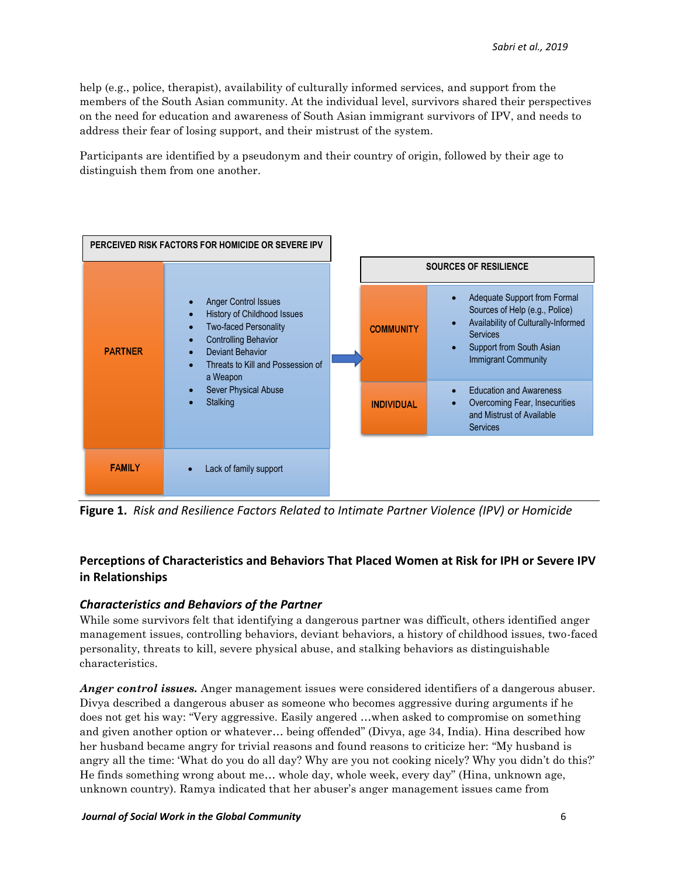help (e.g., police, therapist), availability of culturally informed services, and support from the members of the South Asian community. At the individual level, survivors shared their perspectives on the need for education and awareness of South Asian immigrant survivors of IPV, and needs to address their fear of losing support, and their mistrust of the system.

Participants are identified by a pseudonym and their country of origin, followed by their age to distinguish them from one another.



**Figure 1.** *Risk and Resilience Factors Related to Intimate Partner Violence (IPV) or Homicide*

# **Perceptions of Characteristics and Behaviors That Placed Women at Risk for IPH or Severe IPV in Relationships**

## *Characteristics and Behaviors of the Partner*

While some survivors felt that identifying a dangerous partner was difficult, others identified anger management issues, controlling behaviors, deviant behaviors, a history of childhood issues, two-faced personality, threats to kill, severe physical abuse, and stalking behaviors as distinguishable characteristics.

*Anger control issues.* Anger management issues were considered identifiers of a dangerous abuser. Divya described a dangerous abuser as someone who becomes aggressive during arguments if he does not get his way: "Very aggressive. Easily angered …when asked to compromise on something and given another option or whatever… being offended" (Divya, age 34, India). Hina described how her husband became angry for trivial reasons and found reasons to criticize her: "My husband is angry all the time: 'What do you do all day? Why are you not cooking nicely? Why you didn't do this?' He finds something wrong about me… whole day, whole week, every day" (Hina, unknown age, unknown country). Ramya indicated that her abuser's anger management issues came from

#### *Journal of Social Work in the Global Community* 6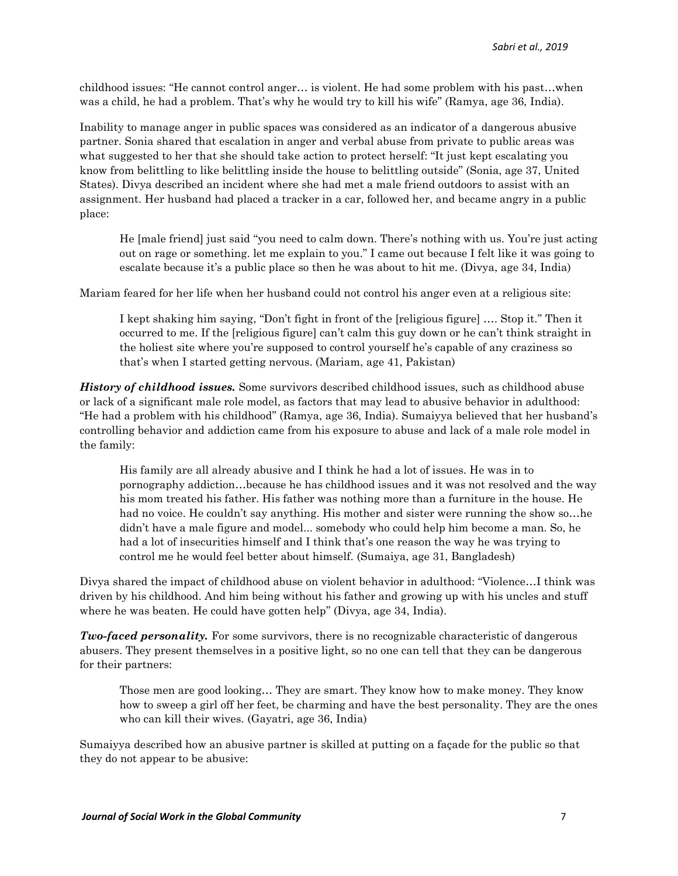childhood issues: "He cannot control anger… is violent. He had some problem with his past…when was a child, he had a problem. That's why he would try to kill his wife" (Ramya, age 36, India).

Inability to manage anger in public spaces was considered as an indicator of a dangerous abusive partner. Sonia shared that escalation in anger and verbal abuse from private to public areas was what suggested to her that she should take action to protect herself: "It just kept escalating you know from belittling to like belittling inside the house to belittling outside" (Sonia, age 37, United States). Divya described an incident where she had met a male friend outdoors to assist with an assignment. Her husband had placed a tracker in a car, followed her, and became angry in a public place:

He [male friend] just said "you need to calm down. There's nothing with us. You're just acting out on rage or something. let me explain to you." I came out because I felt like it was going to escalate because it's a public place so then he was about to hit me. (Divya, age 34, India)

Mariam feared for her life when her husband could not control his anger even at a religious site:

I kept shaking him saying, "Don't fight in front of the [religious figure] …. Stop it." Then it occurred to me. If the [religious figure] can't calm this guy down or he can't think straight in the holiest site where you're supposed to control yourself he's capable of any craziness so that's when I started getting nervous. (Mariam, age 41, Pakistan)

*History of childhood issues.* Some survivors described childhood issues, such as childhood abuse or lack of a significant male role model, as factors that may lead to abusive behavior in adulthood: "He had a problem with his childhood" (Ramya, age 36, India). Sumaiyya believed that her husband's controlling behavior and addiction came from his exposure to abuse and lack of a male role model in the family:

His family are all already abusive and I think he had a lot of issues. He was in to pornography addiction…because he has childhood issues and it was not resolved and the way his mom treated his father. His father was nothing more than a furniture in the house. He had no voice. He couldn't say anything. His mother and sister were running the show so…he didn't have a male figure and model... somebody who could help him become a man. So, he had a lot of insecurities himself and I think that's one reason the way he was trying to control me he would feel better about himself. (Sumaiya, age 31, Bangladesh)

Divya shared the impact of childhood abuse on violent behavior in adulthood: "Violence…I think was driven by his childhood. And him being without his father and growing up with his uncles and stuff where he was beaten. He could have gotten help" (Divya, age 34, India).

*Two-faced personality.* For some survivors, there is no recognizable characteristic of dangerous abusers. They present themselves in a positive light, so no one can tell that they can be dangerous for their partners:

Those men are good looking… They are smart. They know how to make money. They know how to sweep a girl off her feet, be charming and have the best personality. They are the ones who can kill their wives. (Gayatri, age 36, India)

Sumaiyya described how an abusive partner is skilled at putting on a façade for the public so that they do not appear to be abusive: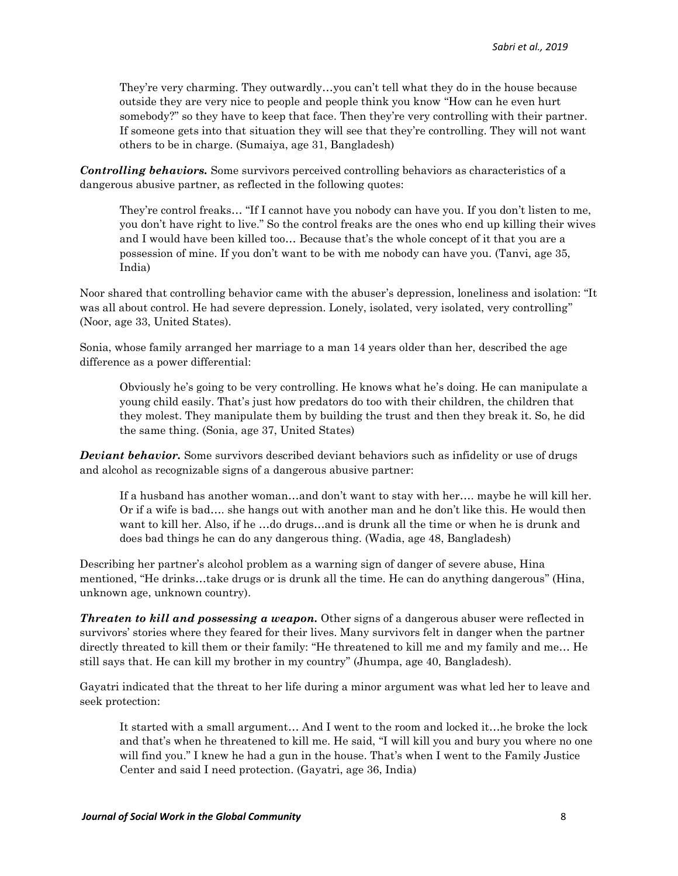They're very charming. They outwardly…you can't tell what they do in the house because outside they are very nice to people and people think you know "How can he even hurt somebody?" so they have to keep that face. Then they're very controlling with their partner. If someone gets into that situation they will see that they're controlling. They will not want others to be in charge. (Sumaiya, age 31, Bangladesh)

*Controlling behaviors.* Some survivors perceived controlling behaviors as characteristics of a dangerous abusive partner, as reflected in the following quotes:

They're control freaks… "If I cannot have you nobody can have you. If you don't listen to me, you don't have right to live." So the control freaks are the ones who end up killing their wives and I would have been killed too… Because that's the whole concept of it that you are a possession of mine. If you don't want to be with me nobody can have you. (Tanvi, age 35, India)

Noor shared that controlling behavior came with the abuser's depression, loneliness and isolation: "It was all about control. He had severe depression. Lonely, isolated, very isolated, very controlling" (Noor, age 33, United States).

Sonia, whose family arranged her marriage to a man 14 years older than her, described the age difference as a power differential:

Obviously he's going to be very controlling. He knows what he's doing. He can manipulate a young child easily. That's just how predators do too with their children, the children that they molest. They manipulate them by building the trust and then they break it. So, he did the same thing. (Sonia, age 37, United States)

*Deviant behavior.* Some survivors described deviant behaviors such as infidelity or use of drugs and alcohol as recognizable signs of a dangerous abusive partner:

If a husband has another woman…and don't want to stay with her…. maybe he will kill her. Or if a wife is bad…. she hangs out with another man and he don't like this. He would then want to kill her. Also, if he …do drugs…and is drunk all the time or when he is drunk and does bad things he can do any dangerous thing. (Wadia, age 48, Bangladesh)

Describing her partner's alcohol problem as a warning sign of danger of severe abuse, Hina mentioned, "He drinks…take drugs or is drunk all the time. He can do anything dangerous" (Hina, unknown age, unknown country).

*Threaten to kill and possessing a weapon.* Other signs of a dangerous abuser were reflected in survivors' stories where they feared for their lives. Many survivors felt in danger when the partner directly threated to kill them or their family: "He threatened to kill me and my family and me… He still says that. He can kill my brother in my country" (Jhumpa, age 40, Bangladesh).

Gayatri indicated that the threat to her life during a minor argument was what led her to leave and seek protection:

It started with a small argument… And I went to the room and locked it…he broke the lock and that's when he threatened to kill me. He said, "I will kill you and bury you where no one will find you." I knew he had a gun in the house. That's when I went to the Family Justice Center and said I need protection. (Gayatri, age 36, India)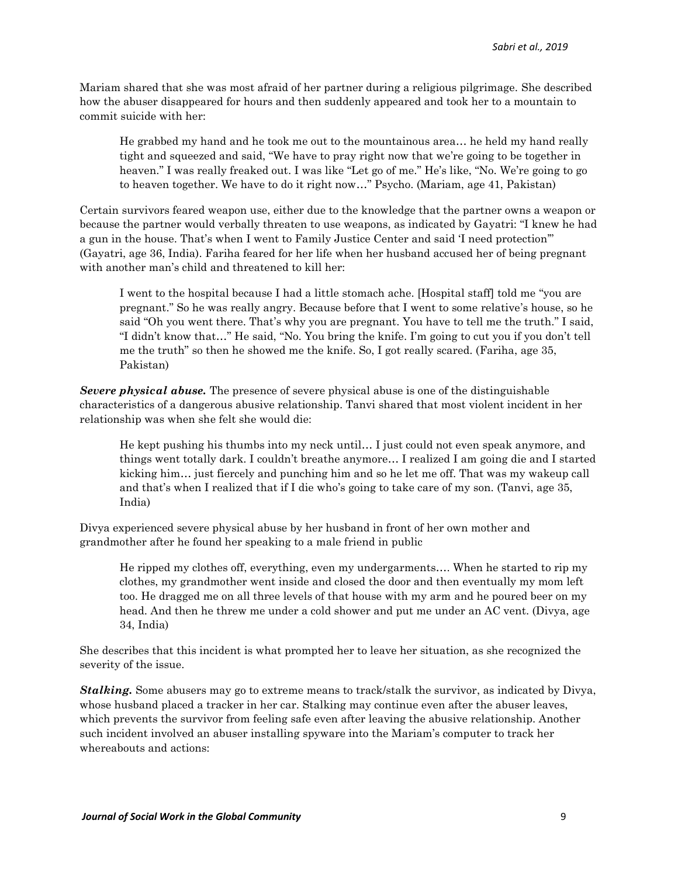Mariam shared that she was most afraid of her partner during a religious pilgrimage. She described how the abuser disappeared for hours and then suddenly appeared and took her to a mountain to commit suicide with her:

He grabbed my hand and he took me out to the mountainous area… he held my hand really tight and squeezed and said, "We have to pray right now that we're going to be together in heaven." I was really freaked out. I was like "Let go of me." He's like, "No. We're going to go to heaven together. We have to do it right now…" Psycho. (Mariam, age 41, Pakistan)

Certain survivors feared weapon use, either due to the knowledge that the partner owns a weapon or because the partner would verbally threaten to use weapons, as indicated by Gayatri: "I knew he had a gun in the house. That's when I went to Family Justice Center and said 'I need protection'" (Gayatri, age 36, India). Fariha feared for her life when her husband accused her of being pregnant with another man's child and threatened to kill her:

I went to the hospital because I had a little stomach ache. [Hospital staff] told me "you are pregnant." So he was really angry. Because before that I went to some relative's house, so he said "Oh you went there. That's why you are pregnant. You have to tell me the truth." I said, "I didn't know that…" He said, "No. You bring the knife. I'm going to cut you if you don't tell me the truth" so then he showed me the knife. So, I got really scared. (Fariha, age 35, Pakistan)

*Severe physical abuse.* The presence of severe physical abuse is one of the distinguishable characteristics of a dangerous abusive relationship. Tanvi shared that most violent incident in her relationship was when she felt she would die:

He kept pushing his thumbs into my neck until… I just could not even speak anymore, and things went totally dark. I couldn't breathe anymore… I realized I am going die and I started kicking him… just fiercely and punching him and so he let me off. That was my wakeup call and that's when I realized that if I die who's going to take care of my son. (Tanvi, age 35, India)

Divya experienced severe physical abuse by her husband in front of her own mother and grandmother after he found her speaking to a male friend in public

He ripped my clothes off, everything, even my undergarments…. When he started to rip my clothes, my grandmother went inside and closed the door and then eventually my mom left too. He dragged me on all three levels of that house with my arm and he poured beer on my head. And then he threw me under a cold shower and put me under an AC vent. (Divya, age 34, India)

She describes that this incident is what prompted her to leave her situation, as she recognized the severity of the issue.

*Stalking.* Some abusers may go to extreme means to track/stalk the survivor, as indicated by Divya, whose husband placed a tracker in her car. Stalking may continue even after the abuser leaves, which prevents the survivor from feeling safe even after leaving the abusive relationship. Another such incident involved an abuser installing spyware into the Mariam's computer to track her whereabouts and actions: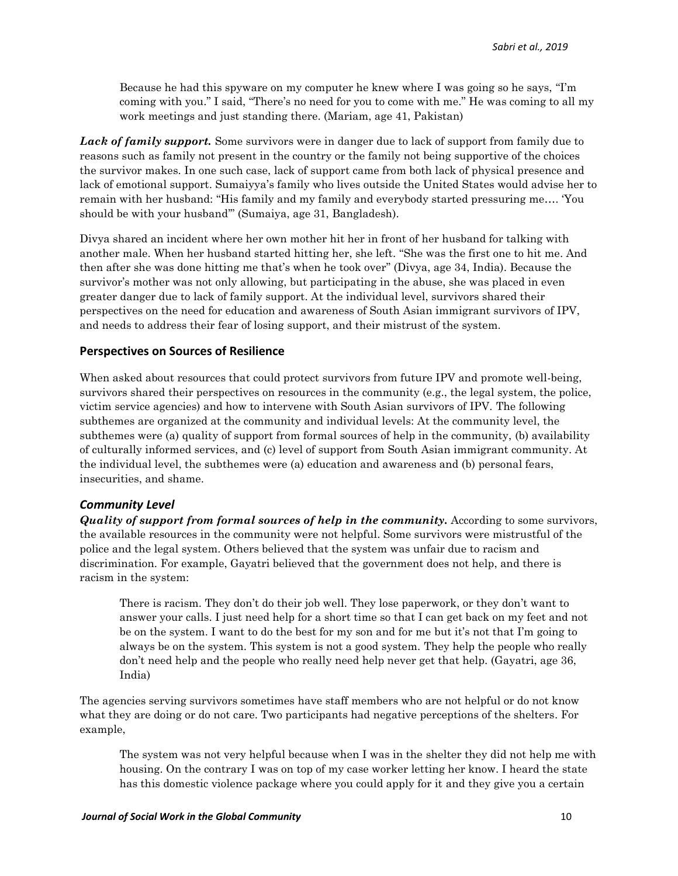Because he had this spyware on my computer he knew where I was going so he says, "I'm coming with you." I said, "There's no need for you to come with me." He was coming to all my work meetings and just standing there. (Mariam, age 41, Pakistan)

*Lack of family support.* Some survivors were in danger due to lack of support from family due to reasons such as family not present in the country or the family not being supportive of the choices the survivor makes. In one such case, lack of support came from both lack of physical presence and lack of emotional support. Sumaiyya's family who lives outside the United States would advise her to remain with her husband: "His family and my family and everybody started pressuring me…. 'You should be with your husband'" (Sumaiya, age 31, Bangladesh).

Divya shared an incident where her own mother hit her in front of her husband for talking with another male. When her husband started hitting her, she left. "She was the first one to hit me. And then after she was done hitting me that's when he took over" (Divya, age 34, India). Because the survivor's mother was not only allowing, but participating in the abuse, she was placed in even greater danger due to lack of family support. At the individual level, survivors shared their perspectives on the need for education and awareness of South Asian immigrant survivors of IPV, and needs to address their fear of losing support, and their mistrust of the system.

#### **Perspectives on Sources of Resilience**

When asked about resources that could protect survivors from future IPV and promote well-being, survivors shared their perspectives on resources in the community (e.g., the legal system, the police, victim service agencies) and how to intervene with South Asian survivors of IPV. The following subthemes are organized at the community and individual levels: At the community level, the subthemes were (a) quality of support from formal sources of help in the community, (b) availability of culturally informed services, and (c) level of support from South Asian immigrant community. At the individual level, the subthemes were (a) education and awareness and (b) personal fears, insecurities, and shame.

## *Community Level*

*Quality* of support from formal sources of help in the community. According to some survivors, the available resources in the community were not helpful. Some survivors were mistrustful of the police and the legal system. Others believed that the system was unfair due to racism and discrimination. For example, Gayatri believed that the government does not help, and there is racism in the system:

There is racism. They don't do their job well. They lose paperwork, or they don't want to answer your calls. I just need help for a short time so that I can get back on my feet and not be on the system. I want to do the best for my son and for me but it's not that I'm going to always be on the system. This system is not a good system. They help the people who really don't need help and the people who really need help never get that help. (Gayatri, age 36, India)

The agencies serving survivors sometimes have staff members who are not helpful or do not know what they are doing or do not care. Two participants had negative perceptions of the shelters. For example,

The system was not very helpful because when I was in the shelter they did not help me with housing. On the contrary I was on top of my case worker letting her know. I heard the state has this domestic violence package where you could apply for it and they give you a certain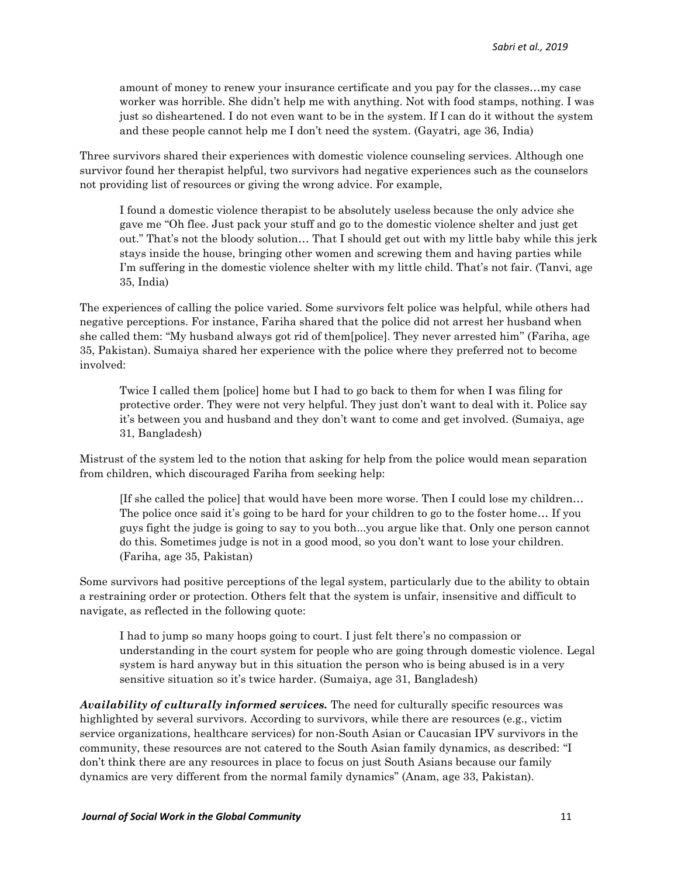amount of money to renew your insurance certificate and you pay for the classes…my case worker was horrible. She didn't help me with anything. Not with food stamps, nothing. I was just so disheartened. I do not even want to be in the system. If I can do it without the system and these people cannot help me I don't need the system. (Gayatri, age 36, India)

Three survivors shared their experiences with domestic violence counseling services. Although one survivor found her therapist helpful, two survivors had negative experiences such as the counselors not providing list of resources or giving the wrong advice. For example,

I found a domestic violence therapist to be absolutely useless because the only advice she gave me "Oh flee. Just pack your stuff and go to the domestic violence shelter and just get out." That's not the bloody solution… That I should get out with my little baby while this jerk stays inside the house, bringing other women and screwing them and having parties while I'm suffering in the domestic violence shelter with my little child. That's not fair. (Tanvi, age 35, India)

The experiences of calling the police varied. Some survivors felt police was helpful, while others had negative perceptions. For instance, Fariha shared that the police did not arrest her husband when she called them: "My husband always got rid of them[police]. They never arrested him" (Fariha, age 35, Pakistan). Sumaiya shared her experience with the police where they preferred not to become involved:

Twice I called them [police] home but I had to go back to them for when I was filing for protective order. They were not very helpful. They just don't want to deal with it. Police say it's between you and husband and they don't want to come and get involved. (Sumaiya, age 31, Bangladesh)

Mistrust of the system led to the notion that asking for help from the police would mean separation from children, which discouraged Fariha from seeking help:

[If she called the police] that would have been more worse. Then I could lose my children… The police once said it's going to be hard for your children to go to the foster home… If you guys fight the judge is going to say to you both...you argue like that. Only one person cannot do this. Sometimes judge is not in a good mood, so you don't want to lose your children. (Fariha, age 35, Pakistan)

Some survivors had positive perceptions of the legal system, particularly due to the ability to obtain a restraining order or protection. Others felt that the system is unfair, insensitive and difficult to navigate, as reflected in the following quote:

I had to jump so many hoops going to court. I just felt there's no compassion or understanding in the court system for people who are going through domestic violence. Legal system is hard anyway but in this situation the person who is being abused is in a very sensitive situation so it's twice harder. (Sumaiya, age 31, Bangladesh)

*Availability of culturally informed services.* The need for culturally specific resources was highlighted by several survivors. According to survivors, while there are resources (e.g., victim service organizations, healthcare services) for non-South Asian or Caucasian IPV survivors in the community, these resources are not catered to the South Asian family dynamics, as described: "I don't think there are any resources in place to focus on just South Asians because our family dynamics are very different from the normal family dynamics" (Anam, age 33, Pakistan).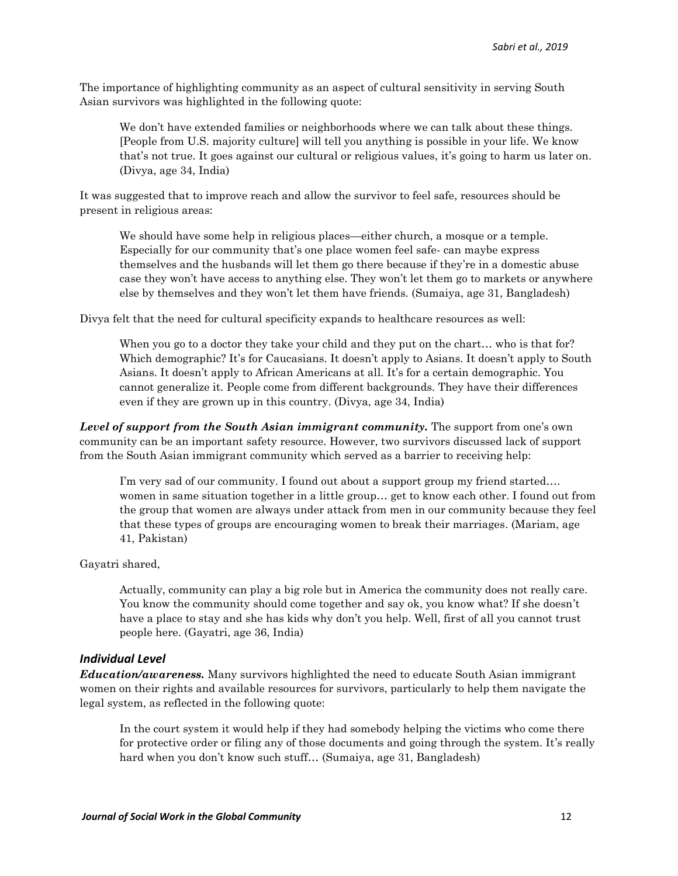The importance of highlighting community as an aspect of cultural sensitivity in serving South Asian survivors was highlighted in the following quote:

We don't have extended families or neighborhoods where we can talk about these things. [People from U.S. majority culture] will tell you anything is possible in your life. We know that's not true. It goes against our cultural or religious values, it's going to harm us later on. (Divya, age 34, India)

It was suggested that to improve reach and allow the survivor to feel safe, resources should be present in religious areas:

We should have some help in religious places—either church, a mosque or a temple. Especially for our community that's one place women feel safe- can maybe express themselves and the husbands will let them go there because if they're in a domestic abuse case they won't have access to anything else. They won't let them go to markets or anywhere else by themselves and they won't let them have friends. (Sumaiya, age 31, Bangladesh)

Divya felt that the need for cultural specificity expands to healthcare resources as well:

When you go to a doctor they take your child and they put on the chart... who is that for? Which demographic? It's for Caucasians. It doesn't apply to Asians. It doesn't apply to South Asians. It doesn't apply to African Americans at all. It's for a certain demographic. You cannot generalize it. People come from different backgrounds. They have their differences even if they are grown up in this country. (Divya, age 34, India)

*Level of support from the South Asian immigrant community.* The support from one's own community can be an important safety resource. However, two survivors discussed lack of support from the South Asian immigrant community which served as a barrier to receiving help:

I'm very sad of our community. I found out about a support group my friend started…. women in same situation together in a little group… get to know each other. I found out from the group that women are always under attack from men in our community because they feel that these types of groups are encouraging women to break their marriages. (Mariam, age 41, Pakistan)

Gayatri shared,

Actually, community can play a big role but in America the community does not really care. You know the community should come together and say ok, you know what? If she doesn't have a place to stay and she has kids why don't you help. Well, first of all you cannot trust people here. (Gayatri, age 36, India)

#### *Individual Level*

*Education/awareness.* Many survivors highlighted the need to educate South Asian immigrant women on their rights and available resources for survivors, particularly to help them navigate the legal system, as reflected in the following quote:

In the court system it would help if they had somebody helping the victims who come there for protective order or filing any of those documents and going through the system. It's really hard when you don't know such stuff… (Sumaiya, age 31, Bangladesh)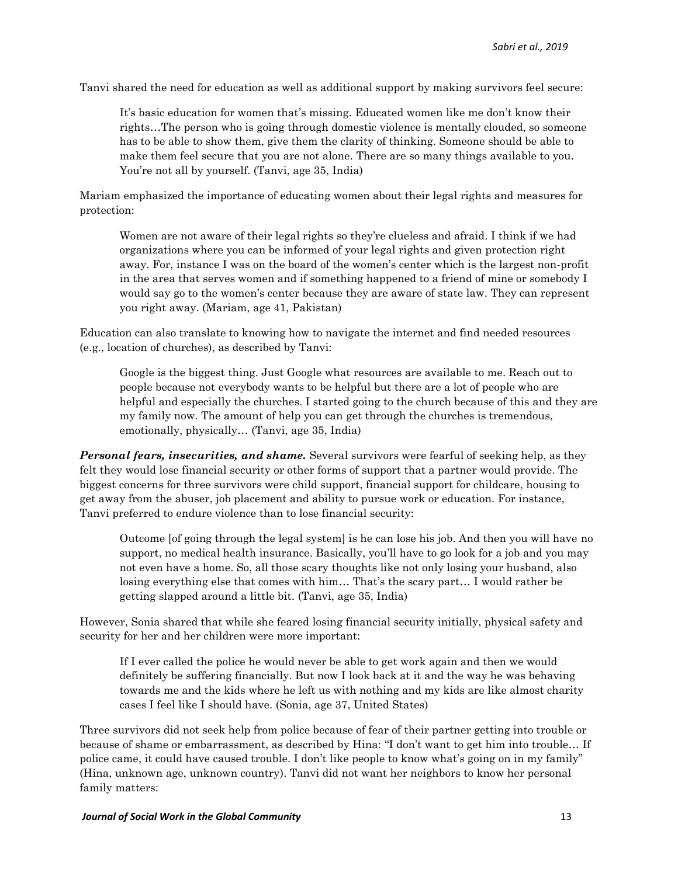Tanvi shared the need for education as well as additional support by making survivors feel secure:

It's basic education for women that's missing. Educated women like me don't know their rights…The person who is going through domestic violence is mentally clouded, so someone has to be able to show them, give them the clarity of thinking. Someone should be able to make them feel secure that you are not alone. There are so many things available to you. You're not all by yourself. (Tanvi, age 35, India)

Mariam emphasized the importance of educating women about their legal rights and measures for protection:

Women are not aware of their legal rights so they're clueless and afraid. I think if we had organizations where you can be informed of your legal rights and given protection right away. For, instance I was on the board of the women's center which is the largest non-profit in the area that serves women and if something happened to a friend of mine or somebody I would say go to the women's center because they are aware of state law. They can represent you right away. (Mariam, age 41, Pakistan)

Education can also translate to knowing how to navigate the internet and find needed resources (e.g., location of churches), as described by Tanvi:

Google is the biggest thing. Just Google what resources are available to me. Reach out to people because not everybody wants to be helpful but there are a lot of people who are helpful and especially the churches. I started going to the church because of this and they are my family now. The amount of help you can get through the churches is tremendous, emotionally, physically… (Tanvi, age 35, India)

*Personal fears, insecurities, and shame.* Several survivors were fearful of seeking help, as they felt they would lose financial security or other forms of support that a partner would provide. The biggest concerns for three survivors were child support, financial support for childcare, housing to get away from the abuser, job placement and ability to pursue work or education. For instance, Tanvi preferred to endure violence than to lose financial security:

Outcome [of going through the legal system] is he can lose his job. And then you will have no support, no medical health insurance. Basically, you'll have to go look for a job and you may not even have a home. So, all those scary thoughts like not only losing your husband, also losing everything else that comes with him… That's the scary part… I would rather be getting slapped around a little bit. (Tanvi, age 35, India)

However, Sonia shared that while she feared losing financial security initially, physical safety and security for her and her children were more important:

If I ever called the police he would never be able to get work again and then we would definitely be suffering financially. But now I look back at it and the way he was behaving towards me and the kids where he left us with nothing and my kids are like almost charity cases I feel like I should have. (Sonia, age 37, United States)

Three survivors did not seek help from police because of fear of their partner getting into trouble or because of shame or embarrassment, as described by Hina: "I don't want to get him into trouble… If police came, it could have caused trouble. I don't like people to know what's going on in my family" (Hina, unknown age, unknown country). Tanvi did not want her neighbors to know her personal family matters: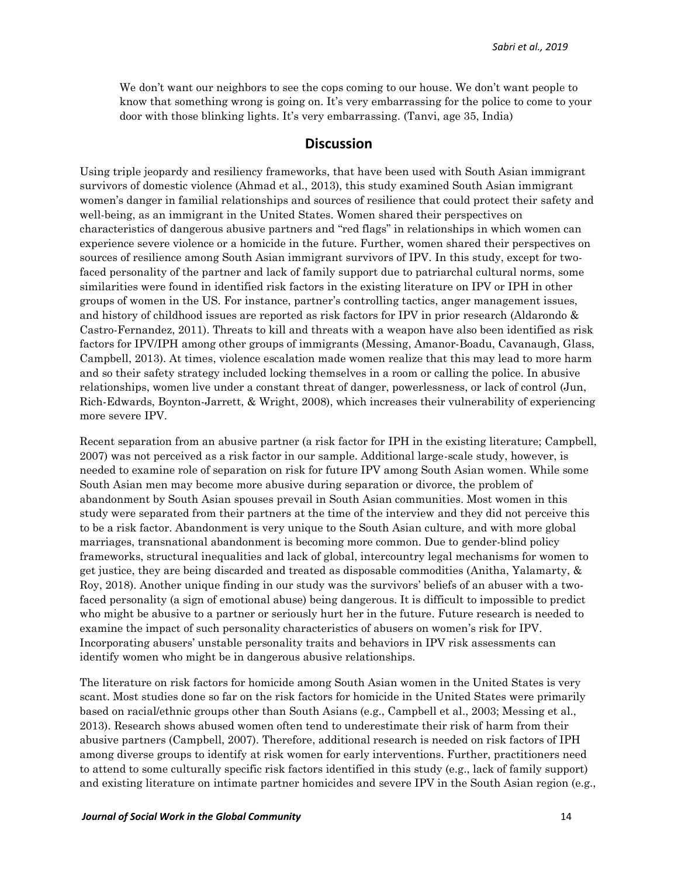We don't want our neighbors to see the cops coming to our house. We don't want people to know that something wrong is going on. It's very embarrassing for the police to come to your door with those blinking lights. It's very embarrassing. (Tanvi, age 35, India)

### **Discussion**

Using triple jeopardy and resiliency frameworks, that have been used with South Asian immigrant survivors of domestic violence (Ahmad et al., 2013), this study examined South Asian immigrant women's danger in familial relationships and sources of resilience that could protect their safety and well-being, as an immigrant in the United States. Women shared their perspectives on characteristics of dangerous abusive partners and "red flags" in relationships in which women can experience severe violence or a homicide in the future. Further, women shared their perspectives on sources of resilience among South Asian immigrant survivors of IPV. In this study, except for twofaced personality of the partner and lack of family support due to patriarchal cultural norms, some similarities were found in identified risk factors in the existing literature on IPV or IPH in other groups of women in the US. For instance, partner's controlling tactics, anger management issues, and history of childhood issues are reported as risk factors for IPV in prior research (Aldarondo & Castro-Fernandez, 2011). Threats to kill and threats with a weapon have also been identified as risk factors for IPV/IPH among other groups of immigrants (Messing, Amanor-Boadu, Cavanaugh, Glass, Campbell, 2013). At times, violence escalation made women realize that this may lead to more harm and so their safety strategy included locking themselves in a room or calling the police. In abusive relationships, women live under a constant threat of danger, powerlessness, or lack of control (Jun, Rich-Edwards, Boynton-Jarrett, & Wright, 2008), which increases their vulnerability of experiencing more severe IPV.

Recent separation from an abusive partner (a risk factor for IPH in the existing literature; Campbell, 2007) was not perceived as a risk factor in our sample. Additional large-scale study, however, is needed to examine role of separation on risk for future IPV among South Asian women. While some South Asian men may become more abusive during separation or divorce, the problem of abandonment by South Asian spouses prevail in South Asian communities. Most women in this study were separated from their partners at the time of the interview and they did not perceive this to be a risk factor. Abandonment is very unique to the South Asian culture, and with more global marriages, transnational abandonment is becoming more common. Due to gender-blind policy frameworks, structural inequalities and lack of global, intercountry legal mechanisms for women to get justice, they are being discarded and treated as disposable commodities (Anitha, Yalamarty, & Roy, 2018). Another unique finding in our study was the survivors' beliefs of an abuser with a twofaced personality (a sign of emotional abuse) being dangerous. It is difficult to impossible to predict who might be abusive to a partner or seriously hurt her in the future. Future research is needed to examine the impact of such personality characteristics of abusers on women's risk for IPV. Incorporating abusers' unstable personality traits and behaviors in IPV risk assessments can identify women who might be in dangerous abusive relationships.

The literature on risk factors for homicide among South Asian women in the United States is very scant. Most studies done so far on the risk factors for homicide in the United States were primarily based on racial/ethnic groups other than South Asians (e.g., Campbell et al., 2003; Messing et al., 2013). Research shows abused women often tend to underestimate their risk of harm from their abusive partners (Campbell, 2007). Therefore, additional research is needed on risk factors of IPH among diverse groups to identify at risk women for early interventions. Further, practitioners need to attend to some culturally specific risk factors identified in this study (e.g., lack of family support) and existing literature on intimate partner homicides and severe IPV in the South Asian region (e.g.,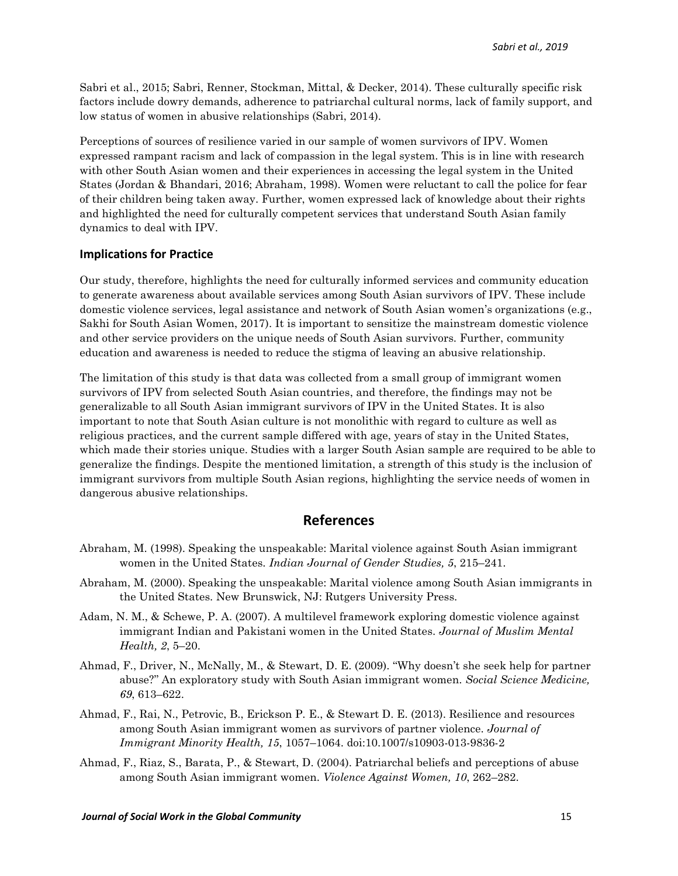Sabri et al., 2015; Sabri, Renner, Stockman, Mittal, & Decker, 2014). These culturally specific risk factors include dowry demands, adherence to patriarchal cultural norms, lack of family support, and low status of women in abusive relationships (Sabri, 2014).

Perceptions of sources of resilience varied in our sample of women survivors of IPV. Women expressed rampant racism and lack of compassion in the legal system. This is in line with research with other South Asian women and their experiences in accessing the legal system in the United States (Jordan & Bhandari, 2016; Abraham, 1998). Women were reluctant to call the police for fear of their children being taken away. Further, women expressed lack of knowledge about their rights and highlighted the need for culturally competent services that understand South Asian family dynamics to deal with IPV.

#### **Implications for Practice**

Our study, therefore, highlights the need for culturally informed services and community education to generate awareness about available services among South Asian survivors of IPV. These include domestic violence services, legal assistance and network of South Asian women's organizations (e.g., Sakhi for South Asian Women, 2017). It is important to sensitize the mainstream domestic violence and other service providers on the unique needs of South Asian survivors. Further, community education and awareness is needed to reduce the stigma of leaving an abusive relationship.

The limitation of this study is that data was collected from a small group of immigrant women survivors of IPV from selected South Asian countries, and therefore, the findings may not be generalizable to all South Asian immigrant survivors of IPV in the United States. It is also important to note that South Asian culture is not monolithic with regard to culture as well as religious practices, and the current sample differed with age, years of stay in the United States, which made their stories unique. Studies with a larger South Asian sample are required to be able to generalize the findings. Despite the mentioned limitation, a strength of this study is the inclusion of immigrant survivors from multiple South Asian regions, highlighting the service needs of women in dangerous abusive relationships.

## **References**

- Abraham, M. (1998). Speaking the unspeakable: Marital violence against South Asian immigrant women in the United States*. Indian Journal of Gender Studies, 5*, 215–241.
- Abraham, M. (2000). Speaking the unspeakable: Marital violence among South Asian immigrants in the United States. New Brunswick, NJ: Rutgers University Press.
- Adam, N. M., & Schewe, P. A. (2007). A multilevel framework exploring domestic violence against immigrant Indian and Pakistani women in the United States. *Journal of Muslim Mental Health, 2*, 5–20.
- Ahmad, F., Driver, N., McNally, M., & Stewart, D. E. (2009). ''Why doesn't she seek help for partner abuse?'' An exploratory study with South Asian immigrant women. *Social Science Medicine, 69*, 613–622.
- Ahmad, F., Rai, N., Petrovic, B., Erickson P. E., & Stewart D. E. (2013). Resilience and resources among South Asian immigrant women as survivors of partner violence. *Journal of Immigrant Minority Health, 15*, 1057–1064. doi:10.1007/s10903-013-9836-2
- Ahmad, F., Riaz, S., Barata, P., & Stewart, D. (2004). Patriarchal beliefs and perceptions of abuse among South Asian immigrant women. *Violence Against Women, 10*, 262–282.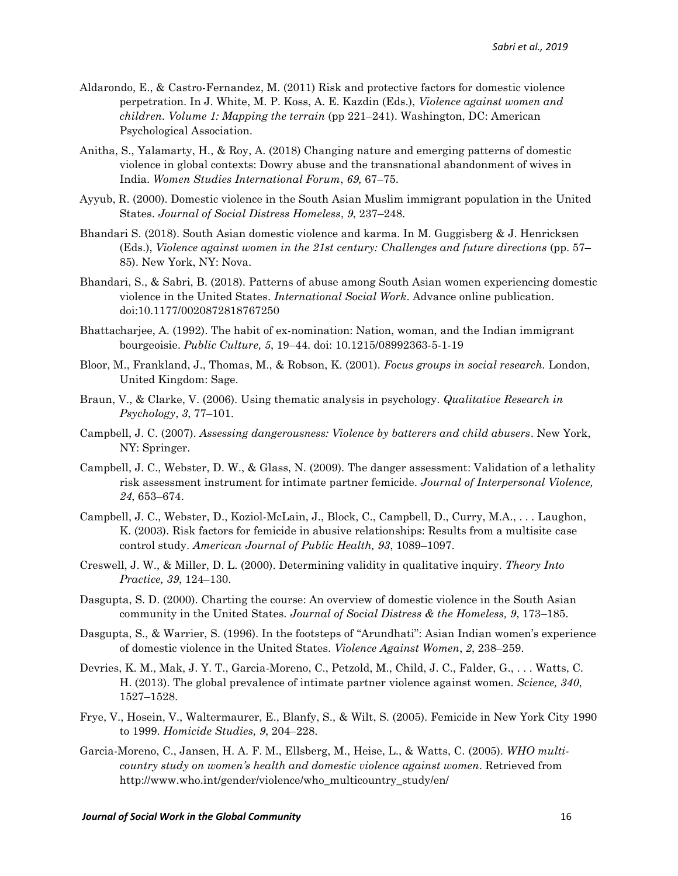- Aldarondo, E., & Castro-Fernandez, M. (2011) Risk and protective factors for domestic violence perpetration. In J. White, M. P. Koss, A. E. Kazdin (Eds.), *Violence against women and children. Volume 1: Mapping the terrain* (pp 221–241). Washington, DC: American Psychological Association.
- Anitha, S., Yalamarty, H., & Roy, A. (2018) Changing nature and emerging patterns of domestic violence in global contexts: Dowry abuse and the transnational abandonment of wives in India. *Women Studies International Forum*, *69,* 67–75.
- Ayyub, R. (2000). Domestic violence in the South Asian Muslim immigrant population in the United States. *Journal of Social Distress Homeless*, *9*, 237–248.
- Bhandari S. (2018). South Asian domestic violence and karma. In M. Guggisberg & J. Henricksen (Eds.), *Violence against women in the 21st century: Challenges and future directions* (pp. 57– 85). New York, NY: Nova.
- Bhandari, S., & Sabri, B. (2018). Patterns of abuse among South Asian women experiencing domestic violence in the United States. *International Social Work*. Advance online publication. doi:10.1177/0020872818767250
- Bhattacharjee, A. (1992). The habit of ex-nomination: Nation, woman, and the Indian immigrant bourgeoisie. *Public Culture, 5*, 19–44. doi: 10.1215/08992363-5-1-19
- Bloor, M., Frankland, J., Thomas, M., & Robson, K. (2001). *Focus groups in social research.* London, United Kingdom: Sage.
- Braun, V., & Clarke, V. (2006). Using thematic analysis in psychology. *Qualitative Research in Psychology*, *3*, 77–101.
- Campbell, J. C. (2007). *Assessing dangerousness: Violence by batterers and child abusers*. New York, NY: Springer.
- Campbell, J. C., Webster, D. W., & Glass, N. (2009). The danger assessment: Validation of a lethality risk assessment instrument for intimate partner femicide. *Journal of Interpersonal Violence, 24*, 653–674.
- Campbell, J. C., Webster, D., Koziol-McLain, J., Block, C., Campbell, D., Curry, M.A., *. . .* Laughon, K. (2003). Risk factors for femicide in abusive relationships: Results from a multisite case control study. *American Journal of Public Health, 93*, 1089–1097.
- Creswell, J. W., & Miller, D. L. (2000). Determining validity in qualitative inquiry. *Theory Into Practice, 39*, 124–130.
- Dasgupta, S. D. (2000). Charting the course: An overview of domestic violence in the South Asian community in the United States. *Journal of Social Distress & the Homeless, 9*, 173–185.
- Dasgupta, S., & Warrier, S. (1996). In the footsteps of "Arundhati": Asian Indian women's experience of domestic violence in the United States. *Violence Against Women*, *2*, 238–259.
- Devries, K. M., Mak, J. Y. T., Garcia-Moreno, C., Petzold, M., Child, J. C., Falder, G., . . . Watts, C. H. (2013). The global prevalence of intimate partner violence against women. *Science, 340*, 1527–1528.
- Frye, V., Hosein, V., Waltermaurer, E., Blanfy, S., & Wilt, S. (2005). Femicide in New York City 1990 to 1999. *Homicide Studies, 9*, 204–228.
- Garcia-Moreno, C., Jansen, H. A. F. M., Ellsberg, M., Heise, L., & Watts, C. (2005). *WHO multicountry study on women's health and domestic violence against women*. Retrieved from http://www.who.int/gender/violence/who\_multicountry\_study/en/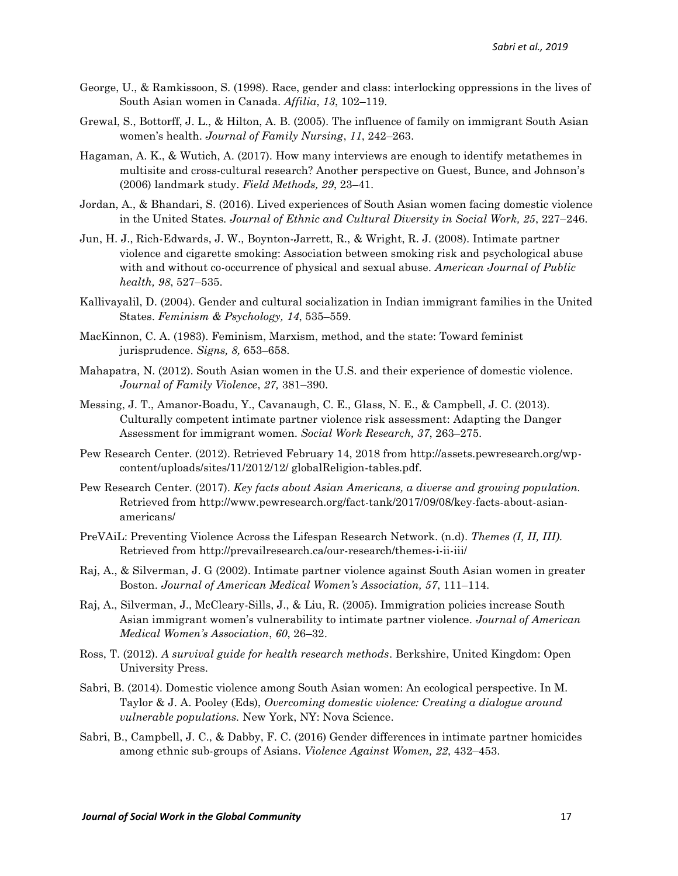- George, U., & Ramkissoon, S. (1998). Race, gender and class: interlocking oppressions in the lives of South Asian women in Canada. *Affilia*, *13*, 102–119.
- Grewal, S., Bottorff, J. L., & Hilton, A. B. (2005). The influence of family on immigrant South Asian women's health. *Journal of Family Nursing*, *11*, 242–263.
- Hagaman, A. K., & Wutich, A. (2017). How many interviews are enough to identify metathemes in multisite and cross-cultural research? Another perspective on Guest, Bunce, and Johnson's (2006) landmark study. *Field Methods, 29*, 23–41.
- Jordan, A., & Bhandari, S. (2016). Lived experiences of South Asian women facing domestic violence in the United States. *Journal of Ethnic and Cultural Diversity in Social Work, 25*, 227–246.
- [Jun, H. J.](https://www.ncbi.nlm.nih.gov/pubmed/?term=Jun%20HJ%5BAuthor%5D&cauthor=true&cauthor_uid=17600272), [Rich-Edwards, J.](https://www.ncbi.nlm.nih.gov/pubmed/?term=Rich-Edwards%20JW%5BAuthor%5D&cauthor=true&cauthor_uid=17600272) W., [Boynton-Jarrett, R.](https://www.ncbi.nlm.nih.gov/pubmed/?term=Boynton-Jarrett%20R%5BAuthor%5D&cauthor=true&cauthor_uid=17600272), & [Wright, R.](https://www.ncbi.nlm.nih.gov/pubmed/?term=Wright%20RJ%5BAuthor%5D&cauthor=true&cauthor_uid=17600272) J. (2008). Intimate partner violence and cigarette smoking: Association between smoking risk and psychological abuse with and without co-occurrence of physical and sexual abuse. *American Journal of Public health, 98*, 527–535.
- Kallivayalil, D. (2004). Gender and cultural socialization in Indian immigrant families in the United States. *Feminism & Psychology, 14*, 535–559.
- MacKinnon, C. A. (1983). Feminism, Marxism, method, and the state: Toward feminist jurisprudence. *Signs, 8,* 653–658.
- Mahapatra, N. (2012). South Asian women in the U.S. and their experience of domestic violence. *Journal of Family Violence*, *27,* 381–390.
- Messing, J. T., Amanor-Boadu, Y., Cavanaugh, C. E., Glass, N. E., & Campbell, J. C. (2013). Culturally competent intimate partner violence risk assessment: Adapting the Danger Assessment for immigrant women. *Social Work Research, 37*, 263–275.
- Pew Research Center. (2012). Retrieved February 14, 2018 from http://assets.pewresearch.org/wpcontent/uploads/sites/11/2012/12/ globalReligion-tables.pdf.
- Pew Research Center. (2017). *Key facts about Asian Americans, a diverse and growing population.*  Retrieved from [http://www.pewresearch.org/fact-tank/2017/09/08/key-facts-about-asian](http://www.pewresearch.org/fact-tank/2017/09/08/key-facts-about-asian-americans/)[americans/](http://www.pewresearch.org/fact-tank/2017/09/08/key-facts-about-asian-americans/)
- PreVAiL: Preventing Violence Across the Lifespan Research Network. (n.d). *Themes (I, II, III).*  Retrieved from<http://prevailresearch.ca/our-research/themes-i-ii-iii/>
- Raj, A., & Silverman, J. G (2002). Intimate partner violence against South Asian women in greater Boston. *Journal of American Medical Women's Association, 57*, 111–114.
- Raj, A., Silverman, J., McCleary-Sills, J., & Liu, R. (2005). Immigration policies increase South Asian immigrant women's vulnerability to intimate partner violence. *Journal of American Medical Women's Association*, *60*, 26–32.
- Ross, T. (2012). *A survival guide for health research methods*. Berkshire, United Kingdom: Open University Press.
- Sabri, B. (2014). Domestic violence among South Asian women: An ecological perspective. In M. Taylor & J. A. Pooley (Eds), *Overcoming domestic violence: Creating a dialogue around vulnerable populations.* New York, NY: Nova Science.
- Sabri, B., Campbell, J. C., & Dabby, F. C. (2016) Gender differences in intimate partner homicides among ethnic sub-groups of Asians. *Violence Against Women, 22*, 432–453.